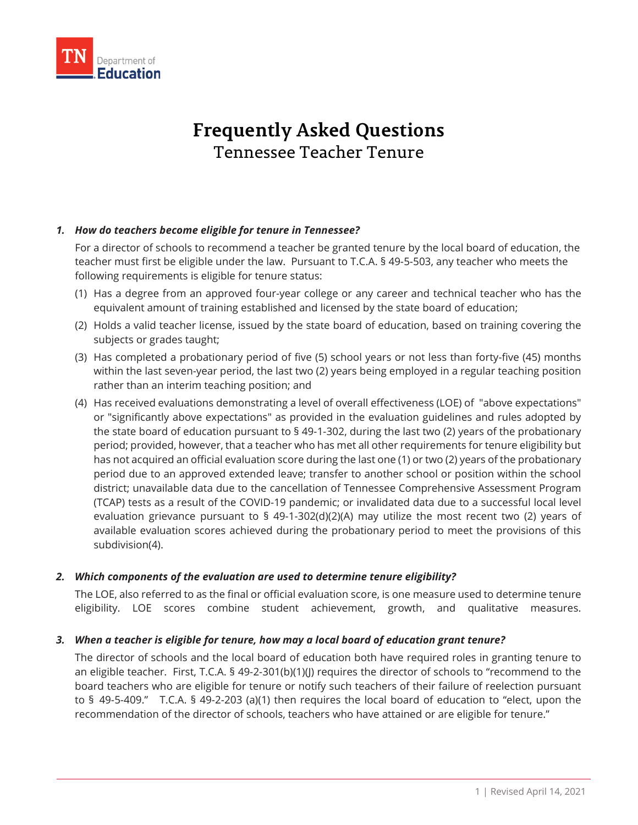

# **Frequently Asked Questions** Tennessee Teacher Tenure

#### *1. How do teachers become eligible for tenure in Tennessee?*

For a director of schools to recommend a teacher be granted tenure by the local board of education, the teacher must first be eligible under the law. Pursuant to T.C.A. § 49-5-503, any teacher who meets the following requirements is eligible for tenure status:

- (1) Has a degree from an approved four-year college or any career and technical teacher who has the equivalent amount of training established and licensed by the state board of education;
- (2) Holds a valid teacher license, issued by the state board of education, based on training covering the subjects or grades taught;
- (3) Has completed a probationary period of five (5) school years or not less than forty-five (45) months within the last seven-year period, the last two (2) years being employed in a regular teaching position rather than an interim teaching position; and
- (4) Has received evaluations demonstrating a level of overall effectiveness (LOE) of "above expectations" or "significantly above expectations" as provided in the evaluation guidelines and rules adopted by the state board of education pursuant to § 49-1-302, during the last two (2) years of the probationary period; provided, however, that a teacher who has met all other requirements for tenure eligibility but has not acquired an official evaluation score during the last one (1) or two (2) years of the probationary period due to an approved extended leave; transfer to another school or position within the school district; unavailable data due to the cancellation of Tennessee Comprehensive Assessment Program (TCAP) tests as a result of the COVID-19 pandemic; or invalidated data due to a successful local level evaluation grievance pursuant to  $\frac{5}{9}$  49-1-302(d)(2)(A) may utilize the most recent two (2) years of available evaluation scores achieved during the probationary period to meet the provisions of this subdivision(4).

#### *2. Which components of the evaluation are used to determine tenure eligibility?*

The LOE, also referred to as the final or official evaluation score, is one measure used to determine tenure eligibility. LOE scores combine student achievement, growth, and qualitative measures.

#### *3. When a teacher is eligible for tenure, how may a local board of education grant tenure?*

The director of schools and the local board of education both have required roles in granting tenure to an eligible teacher. First, T.C.A. § 49-2-301(b)(1)(J) requires the director of schools to "recommend to the board teachers who are eligible for tenure or notify such teachers of their failure of reelection pursuant to § 49-5-409." T.C.A. § 49-2-203 (a)(1) then requires the local board of education to "elect, upon the recommendation of the director of schools, teachers who have attained or are eligible for tenure."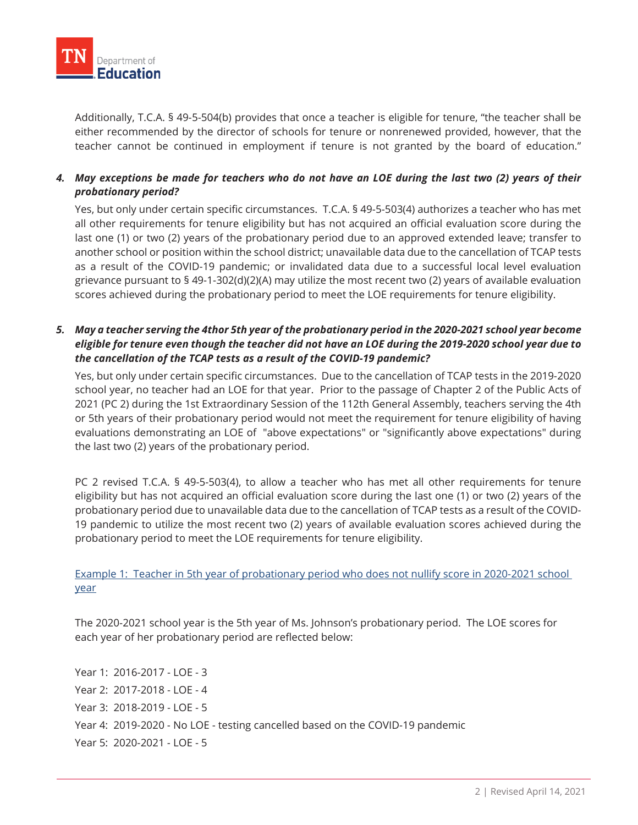

Additionally, T.C.A. § 49-5-504(b) provides that once a teacher is eligible for tenure, "the teacher shall be either recommended by the director of schools for tenure or nonrenewed provided, however, that the teacher cannot be continued in employment if tenure is not granted by the board of education."

# *4. May exceptions be made for teachers who do not have an LOE during the last two (2) years of their probationary period?*

Yes, but only under certain specific circumstances. T.C.A. § 49-5-503(4) authorizes a teacher who has met all other requirements for tenure eligibility but has not acquired an official evaluation score during the last one (1) or two (2) years of the probationary period due to an approved extended leave; transfer to another school or position within the school district; unavailable data due to the cancellation of TCAP tests as a result of the COVID-19 pandemic; or invalidated data due to a successful local level evaluation grievance pursuant to § 49-1-302(d)(2)(A) may utilize the most recent two (2) years of available evaluation scores achieved during the probationary period to meet the LOE requirements for tenure eligibility.

# *5. May a teacher serving the 4thor 5th year of the probationary period in the 2020-2021 school year become eligible for tenure even though the teacher did not have an LOE during the 2019-2020 school year due to the cancellation of the TCAP tests as a result of the COVID-19 pandemic?*

Yes, but only under certain specific circumstances. Due to the cancellation of TCAP tests in the 2019-2020 school year, no teacher had an LOE for that year. Prior to the passage of Chapter 2 of the Public Acts of 2021 (PC 2) during the 1st Extraordinary Session of the 112th General Assembly, teachers serving the 4th or 5th years of their probationary period would not meet the requirement for tenure eligibility of having evaluations demonstrating an LOE of "above expectations" or "significantly above expectations" during the last two (2) years of the probationary period.

PC 2 revised T.C.A. § 49-5-503(4), to allow a teacher who has met all other requirements for tenure eligibility but has not acquired an official evaluation score during the last one (1) or two (2) years of the probationary period due to unavailable data due to the cancellation of TCAP tests as a result of the COVID-19 pandemic to utilize the most recent two (2) years of available evaluation scores achieved during the probationary period to meet the LOE requirements for tenure eligibility.

Example 1: Teacher in 5th year of probationary period who does not nullify score in 2020-2021 school year

The 2020-2021 school year is the 5th year of Ms. Johnson's probationary period. The LOE scores for each year of her probationary period are reflected below:

Year 1: 2016-2017 - LOE - 3 Year 2: 2017-2018 - LOE - 4 Year 3: 2018-2019 - LOE - 5 Year 4: 2019-2020 - No LOE - testing cancelled based on the COVID-19 pandemic Year 5: 2020-2021 - LOE - 5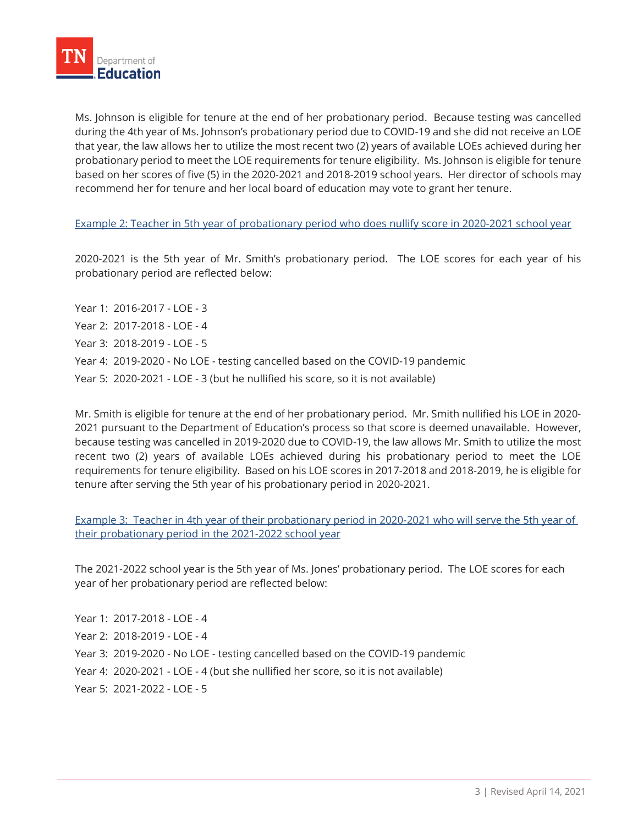

Ms. Johnson is eligible for tenure at the end of her probationary period. Because testing was cancelled during the 4th year of Ms. Johnson's probationary period due to COVID-19 and she did not receive an LOE that year, the law allows her to utilize the most recent two (2) years of available LOEs achieved during her probationary period to meet the LOE requirements for tenure eligibility. Ms. Johnson is eligible for tenure based on her scores of five (5) in the 2020-2021 and 2018-2019 school years. Her director of schools may recommend her for tenure and her local board of education may vote to grant her tenure.

Example 2: Teacher in 5th year of probationary period who does nullify score in 2020-2021 school year

2020-2021 is the 5th year of Mr. Smith's probationary period. The LOE scores for each year of his probationary period are reflected below:

Year 1: 2016-2017 - LOE - 3 Year 2: 2017-2018 - LOE - 4 Year 3: 2018-2019 - LOE - 5 Year 4: 2019-2020 - No LOE - testing cancelled based on the COVID-19 pandemic Year 5: 2020-2021 - LOE - 3 (but he nullified his score, so it is not available)

Mr. Smith is eligible for tenure at the end of her probationary period. Mr. Smith nullified his LOE in 2020- 2021 pursuant to the Department of Education's process so that score is deemed unavailable. However, because testing was cancelled in 2019-2020 due to COVID-19, the law allows Mr. Smith to utilize the most recent two (2) years of available LOEs achieved during his probationary period to meet the LOE requirements for tenure eligibility. Based on his LOE scores in 2017-2018 and 2018-2019, he is eligible for tenure after serving the 5th year of his probationary period in 2020-2021.

Example 3: Teacher in 4th year of their probationary period in 2020-2021 who will serve the 5th year of their probationary period in the 2021-2022 school year

The 2021-2022 school year is the 5th year of Ms. Jones' probationary period. The LOE scores for each year of her probationary period are reflected below:

Year 1: 2017-2018 - LOE - 4 Year 2: 2018-2019 - LOE - 4 Year 3: 2019-2020 - No LOE - testing cancelled based on the COVID-19 pandemic Year 4: 2020-2021 - LOE - 4 (but she nullified her score, so it is not available) Year 5: 2021-2022 - LOE - 5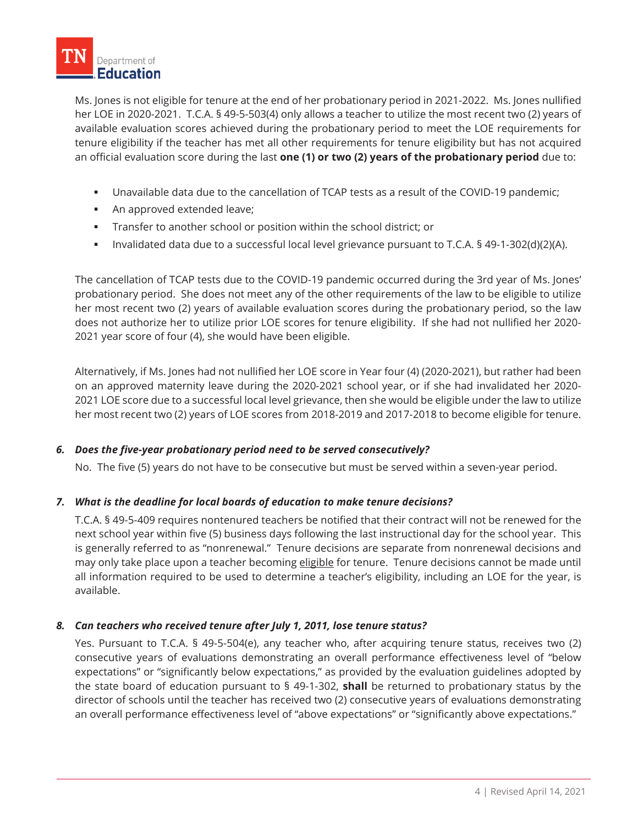Ms. Jones is not eligible for tenure at the end of her probationary period in 2021-2022. Ms. Jones nullified her LOE in 2020-2021. T.C.A. § 49-5-503(4) only allows a teacher to utilize the most recent two (2) years of available evaluation scores achieved during the probationary period to meet the LOE requirements for tenure eligibility if the teacher has met all other requirements for tenure eligibility but has not acquired an official evaluation score during the last **one (1) or two (2) years of the probationary period** due to:

- Unavailable data due to the cancellation of TCAP tests as a result of the COVID-19 pandemic;
- **An approved extended leave;**
- **Transfer to another school or position within the school district; or**
- Invalidated data due to a successful local level grievance pursuant to T.C.A. § 49-1-302(d)(2)(A).

The cancellation of TCAP tests due to the COVID-19 pandemic occurred during the 3rd year of Ms. Jones' probationary period. She does not meet any of the other requirements of the law to be eligible to utilize her most recent two (2) years of available evaluation scores during the probationary period, so the law does not authorize her to utilize prior LOE scores for tenure eligibility. If she had not nullified her 2020- 2021 year score of four (4), she would have been eligible.

Alternatively, if Ms. Jones had not nullified her LOE score in Year four (4) (2020-2021), but rather had been on an approved maternity leave during the 2020-2021 school year, or if she had invalidated her 2020- 2021 LOE score due to a successful local level grievance, then she would be eligible under the law to utilize her most recent two (2) years of LOE scores from 2018-2019 and 2017-2018 to become eligible for tenure.

# *6. Does the five-year probationary period need to be served consecutively?*

No. The five (5) years do not have to be consecutive but must be served within a seven-year period.

# *7. What is the deadline for local boards of education to make tenure decisions?*

T.C.A. § 49-5-409 requires nontenured teachers be notified that their contract will not be renewed for the next school year within five (5) business days following the last instructional day for the school year. This is generally referred to as "nonrenewal." Tenure decisions are separate from nonrenewal decisions and may only take place upon a teacher becoming eligible for tenure. Tenure decisions cannot be made until all information required to be used to determine a teacher's eligibility, including an LOE for the year, is available.

# *8. Can teachers who received tenure after July 1, 2011, lose tenure status?*

Yes. Pursuant to T.C.A. § 49-5-504(e), any teacher who, after acquiring tenure status, receives two (2) consecutive years of evaluations demonstrating an overall performance effectiveness level of "below expectations" or "significantly below expectations," as provided by the evaluation guidelines adopted by the state board of education pursuant to § 49-1-302, **shall** be returned to probationary status by the director of schools until the teacher has received two (2) consecutive years of evaluations demonstrating an overall performance effectiveness level of "above expectations" or "significantly above expectations."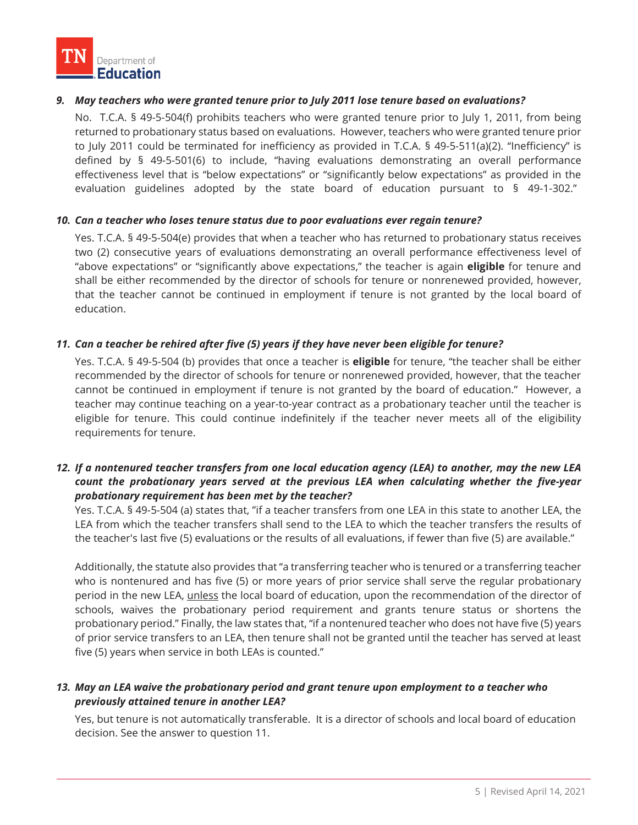# *9. May teachers who were granted tenure prior to July 2011 lose tenure based on evaluations?*

No. T.C.A. § 49-5-504(f) prohibits teachers who were granted tenure prior to July 1, 2011, from being returned to probationary status based on evaluations. However, teachers who were granted tenure prior to July 2011 could be terminated for inefficiency as provided in T.C.A. § 49-5-511(a)(2). "Inefficiency" is defined by § 49-5-501(6) to include, "having evaluations demonstrating an overall performance effectiveness level that is "below expectations" or "significantly below expectations" as provided in the evaluation guidelines adopted by the state board of education pursuant to § 49-1-302."

#### *10. Can a teacher who loses tenure status due to poor evaluations ever regain tenure?*

Yes. T.C.A. § 49-5-504(e) provides that when a teacher who has returned to probationary status receives two (2) consecutive years of evaluations demonstrating an overall performance effectiveness level of "above expectations" or "significantly above expectations," the teacher is again **eligible** for tenure and shall be either recommended by the director of schools for tenure or nonrenewed provided, however, that the teacher cannot be continued in employment if tenure is not granted by the local board of education.

#### *11. Can a teacher be rehired after five (5) years if they have never been eligible for tenure?*

Yes. T.C.A. § 49-5-504 (b) provides that once a teacher is **eligible** for tenure, "the teacher shall be either recommended by the director of schools for tenure or nonrenewed provided, however, that the teacher cannot be continued in employment if tenure is not granted by the board of education." However, a teacher may continue teaching on a year-to-year contract as a probationary teacher until the teacher is eligible for tenure. This could continue indefinitely if the teacher never meets all of the eligibility requirements for tenure.

# *12. If a nontenured teacher transfers from one local education agency (LEA) to another, may the new LEA count the probationary years served at the previous LEA when calculating whether the five-year probationary requirement has been met by the teacher?*

Yes. T.C.A. § 49-5-504 (a) states that, "if a teacher transfers from one LEA in this state to another LEA, the LEA from which the teacher transfers shall send to the LEA to which the teacher transfers the results of the teacher's last five (5) evaluations or the results of all evaluations, if fewer than five (5) are available."

Additionally, the statute also provides that "a transferring teacher who is tenured or a transferring teacher who is nontenured and has five (5) or more years of prior service shall serve the regular probationary period in the new LEA, unless the local board of education, upon the recommendation of the director of schools, waives the probationary period requirement and grants tenure status or shortens the probationary period." Finally, the law states that, "if a nontenured teacher who does not have five (5) years of prior service transfers to an LEA, then tenure shall not be granted until the teacher has served at least five (5) years when service in both LEAs is counted."

# *13. May an LEA waive the probationary period and grant tenure upon employment to a teacher who previously attained tenure in another LEA?*

Yes, but tenure is not automatically transferable. It is a director of schools and local board of education decision. See the answer to question 11.